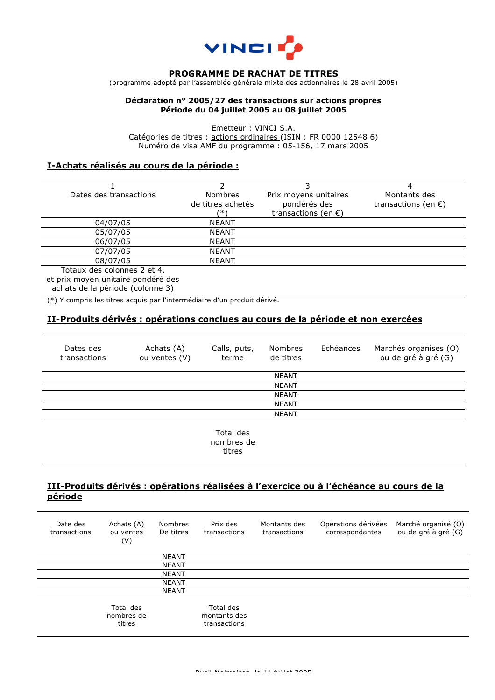

### **PROGRAMME DE RACHAT DE TITRES**

(programme adopté par l'assemblée générale mixte des actionnaires le 28 avril 2005)

#### **Déclaration n° 2005/27 des transactions sur actions propres Période du 04 juillet 2005 au 08 juillet 2005**

Emetteur : VINCI S.A. Catégories de titres : actions ordinaires (ISIN : FR 0000 12548 6) Numéro de visa AMF du programme : 05-156, 17 mars 2005

### **I-Achats réalisés au cours de la période :**

| Dates des transactions                  | <b>Nombres</b>    | Prix moyens unitaires         | Montants des                  |  |
|-----------------------------------------|-------------------|-------------------------------|-------------------------------|--|
|                                         | de titres achetés | pondérés des                  | transactions (en $\epsilon$ ) |  |
|                                         | (* )              | transactions (en $\epsilon$ ) |                               |  |
| 04/07/05                                | <b>NEANT</b>      |                               |                               |  |
| 05/07/05                                | <b>NEANT</b>      |                               |                               |  |
| 06/07/05                                | <b>NEANT</b>      |                               |                               |  |
| 07/07/05                                | <b>NEANT</b>      |                               |                               |  |
| 08/07/05                                | <b>NEANT</b>      |                               |                               |  |
| $T_{\text{atm}}$ deceplonnes $2$ of $4$ |                   |                               |                               |  |

Totaux des colonnes 2 et 4, et prix moyen unitaire pondéré des achats de la période (colonne 3)

(\*) Y compris les titres acquis par l'intermédiaire d'un produit dérivé.

# **II-Produits dérivés : opérations conclues au cours de la période et non exercées**

| Dates des<br>transactions | Achats (A)<br>ou ventes (V) | Calls, puts,<br>terme | <b>Nombres</b><br>de titres | Echéances | Marchés organisés (O)<br>ou de gré à gré (G) |
|---------------------------|-----------------------------|-----------------------|-----------------------------|-----------|----------------------------------------------|
|                           |                             |                       | <b>NEANT</b>                |           |                                              |
|                           |                             |                       | <b>NEANT</b>                |           |                                              |
|                           |                             |                       | <b>NEANT</b>                |           |                                              |
|                           |                             |                       | <b>NEANT</b>                |           |                                              |
|                           |                             |                       | <b>NEANT</b>                |           |                                              |
|                           |                             |                       |                             |           |                                              |

Total des nombres de titres

# **III-Produits dérivés : opérations réalisées à l'exercice ou à l'échéance au cours de la période**

| Date des<br>transactions | Achats (A)<br>ou ventes<br>(V)    | <b>Nombres</b><br>De titres | Prix des<br>transactions                  | Montants des<br>transactions | Opérations dérivées<br>correspondantes | Marché organisé (O)<br>ou de gré à gré (G) |
|--------------------------|-----------------------------------|-----------------------------|-------------------------------------------|------------------------------|----------------------------------------|--------------------------------------------|
|                          |                                   | <b>NEANT</b>                |                                           |                              |                                        |                                            |
|                          |                                   | <b>NEANT</b>                |                                           |                              |                                        |                                            |
|                          |                                   | <b>NEANT</b>                |                                           |                              |                                        |                                            |
|                          |                                   | <b>NEANT</b>                |                                           |                              |                                        |                                            |
|                          |                                   | <b>NEANT</b>                |                                           |                              |                                        |                                            |
|                          | Total des<br>nombres de<br>titres |                             | Total des<br>montants des<br>transactions |                              |                                        |                                            |